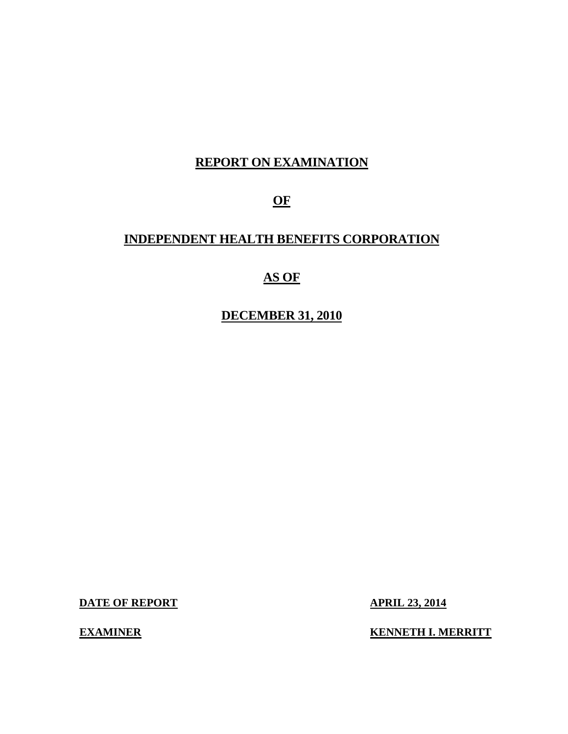# **REPORT ON EXAMINATION**

# **OF**

## **INDEPENDENT HEALTH BENEFITS CORPORATION**

# **AS OF**

## **DECEMBER 31, 2010**

**DATE OF REPORT APRIL 23, 2014** 

**EXAMINER KENNETH I. MERRITT**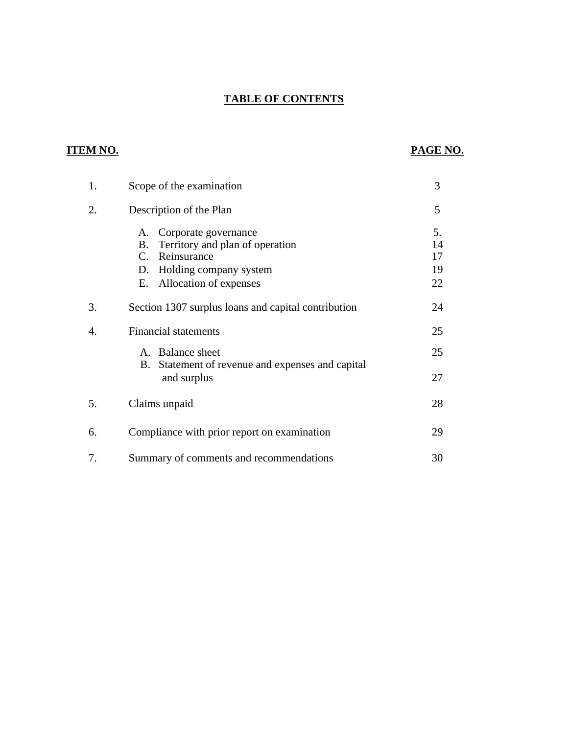## **TABLE OF CONTENTS**

# **ITEM NO. PAGE NO.**

| 1. | Scope of the examination                                                                                                                              | 3                          |
|----|-------------------------------------------------------------------------------------------------------------------------------------------------------|----------------------------|
| 2. | Description of the Plan                                                                                                                               | 5                          |
|    | Corporate governance<br>A.<br>Territory and plan of operation<br>B.<br>C.<br>Reinsurance<br>D. Holding company system<br>Allocation of expenses<br>Е. | 5.<br>14<br>17<br>19<br>22 |
| 3. | Section 1307 surplus loans and capital contribution                                                                                                   | 24                         |
| 4. | <b>Financial statements</b>                                                                                                                           | 25                         |
|    | A. Balance sheet<br>Statement of revenue and expenses and capital<br>В.<br>and surplus                                                                | 25<br>27                   |
| 5. | Claims unpaid                                                                                                                                         | 28                         |
| 6. | Compliance with prior report on examination                                                                                                           | 29                         |
| 7. | Summary of comments and recommendations                                                                                                               | 30                         |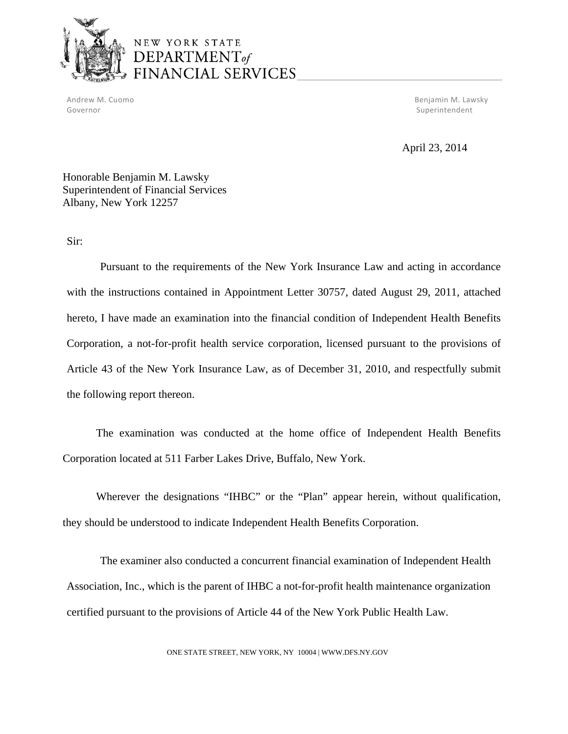

# NEW YORK STATE DEPARTMENT<sub>of</sub> **JANCIAL SERVICES**

Governor Superintendent Superintendent Superintendent Superintendent Superintendent Superintendent Superintendent

Andrew M. Cuomo Benjamin M. Lawsky

April 23, 2014

Honorable Benjamin M. Lawsky Superintendent of Financial Services Albany, New York 12257

Sir:

Pursuant to the requirements of the New York Insurance Law and acting in accordance with the instructions contained in Appointment Letter 30757, dated August 29, 2011, attached hereto, I have made an examination into the financial condition of Independent Health Benefits Corporation, a not-for-profit health service corporation, licensed pursuant to the provisions of Article 43 of the New York Insurance Law, as of December 31, 2010, and respectfully submit the following report thereon.

The examination was conducted at the home office of Independent Health Benefits Corporation located at 511 Farber Lakes Drive, Buffalo, New York.

Wherever the designations "IHBC" or the "Plan" appear herein, without qualification, they should be understood to indicate Independent Health Benefits Corporation.

The examiner also conducted a concurrent financial examination of Independent Health Association, Inc., which is the parent of IHBC a not-for-profit health maintenance organization certified pursuant to the provisions of Article 44 of the New York Public Health Law.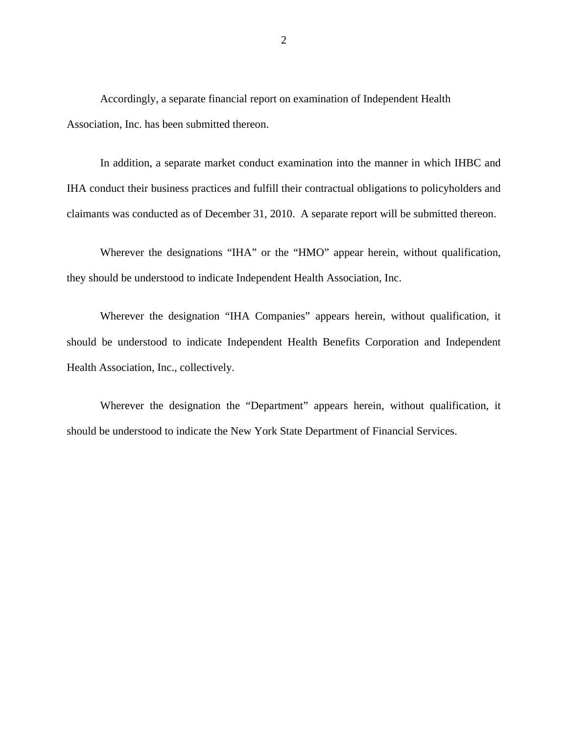Accordingly, a separate financial report on examination of Independent Health Association, Inc. has been submitted thereon.

In addition, a separate market conduct examination into the manner in which IHBC and IHA conduct their business practices and fulfill their contractual obligations to policyholders and claimants was conducted as of December 31, 2010. A separate report will be submitted thereon.

Wherever the designations "IHA" or the "HMO" appear herein, without qualification, they should be understood to indicate Independent Health Association, Inc.

Wherever the designation "IHA Companies" appears herein, without qualification, it should be understood to indicate Independent Health Benefits Corporation and Independent Health Association, Inc., collectively.

Wherever the designation the "Department" appears herein, without qualification, it should be understood to indicate the New York State Department of Financial Services.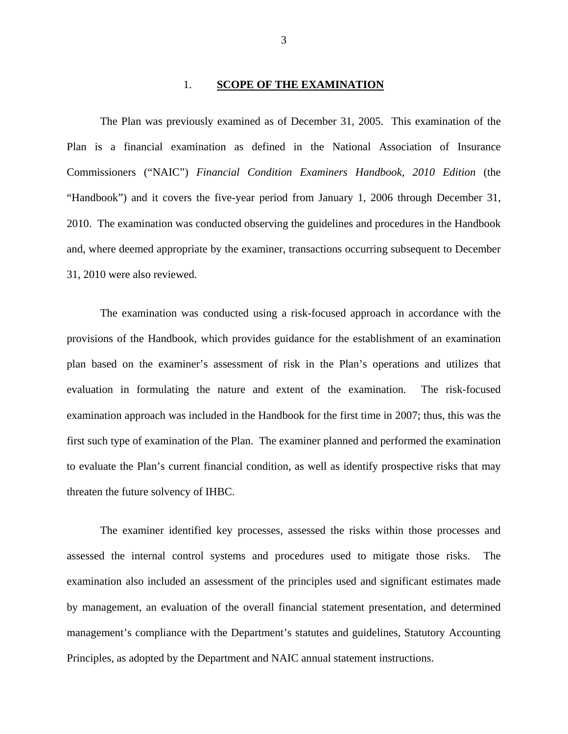#### 1. **SCOPE OF THE EXAMINATION**

<span id="page-4-0"></span>The Plan was previously examined as of December 31, 2005. This examination of the Plan is a financial examination as defined in the National Association of Insurance Commissioners ("NAIC") *Financial Condition Examiners Handbook, 2010 Edition* (the "Handbook") and it covers the five-year period from January 1, 2006 through December 31, 2010. The examination was conducted observing the guidelines and procedures in the Handbook and, where deemed appropriate by the examiner, transactions occurring subsequent to December 31, 2010 were also reviewed.

The examination was conducted using a risk-focused approach in accordance with the provisions of the Handbook, which provides guidance for the establishment of an examination plan based on the examiner's assessment of risk in the Plan's operations and utilizes that evaluation in formulating the nature and extent of the examination. The risk-focused examination approach was included in the Handbook for the first time in 2007; thus, this was the first such type of examination of the Plan. The examiner planned and performed the examination to evaluate the Plan's current financial condition, as well as identify prospective risks that may threaten the future solvency of IHBC.

The examiner identified key processes, assessed the risks within those processes and assessed the internal control systems and procedures used to mitigate those risks. The examination also included an assessment of the principles used and significant estimates made by management, an evaluation of the overall financial statement presentation, and determined management's compliance with the Department's statutes and guidelines, Statutory Accounting Principles, as adopted by the Department and NAIC annual statement instructions.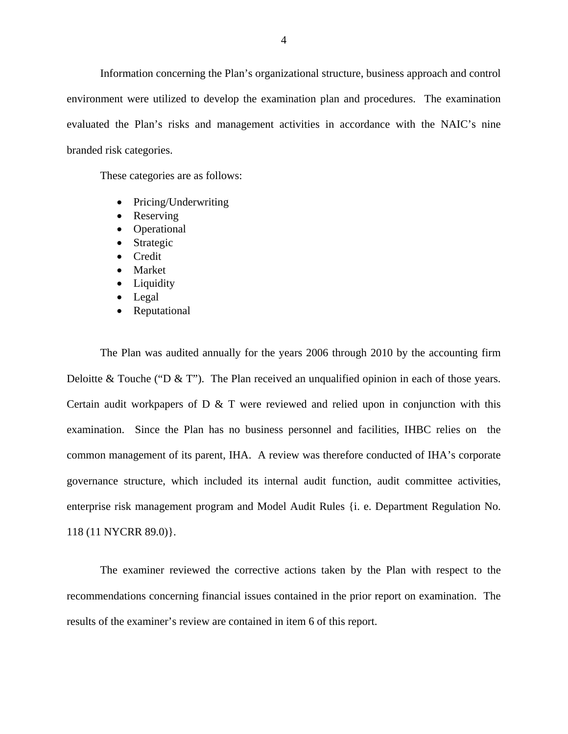Information concerning the Plan's organizational structure, business approach and control environment were utilized to develop the examination plan and procedures. The examination evaluated the Plan's risks and management activities in accordance with the NAIC's nine branded risk categories.

These categories are as follows:

- Pricing/Underwriting
- Reserving
- Operational
- Strategic
- Credit
- Market
- Liquidity
- Legal
- Reputational

118 (11 NYCRR 89.0). The Plan was audited annually for the years 2006 through 2010 by the accounting firm Deloitte & Touche ("D & T"). The Plan received an unqualified opinion in each of those years. Certain audit workpapers of  $D \& T$  were reviewed and relied upon in conjunction with this examination. Since the Plan has no business personnel and facilities, IHBC relies on the common management of its parent, IHA. A review was therefore conducted of IHA's corporate governance structure, which included its internal audit function, audit committee activities, enterprise risk management program and Model Audit Rules {i. e. Department Regulation No.

The examiner reviewed the corrective actions taken by the Plan with respect to the recommendations concerning financial issues contained in the prior report on examination. The results of the examiner's review are contained in item 6 of this report.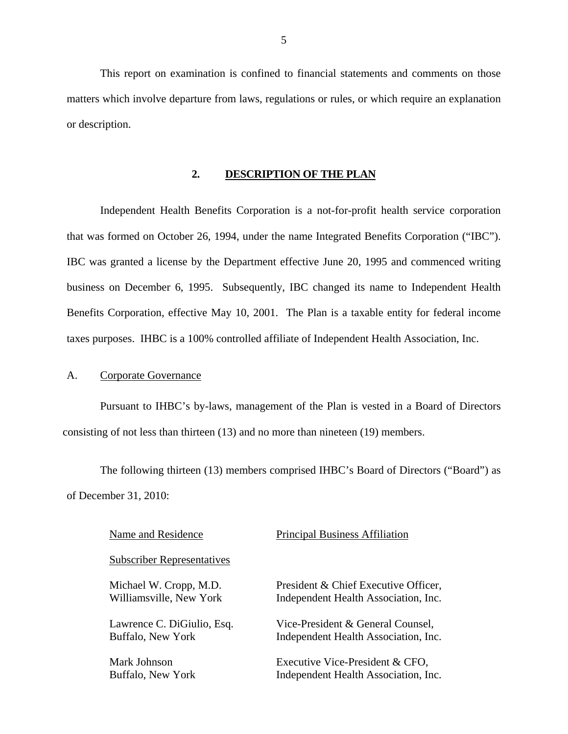<span id="page-6-0"></span>This report on examination is confined to financial statements and comments on those matters which involve departure from laws, regulations or rules, or which require an explanation or description.

### **2. DESCRIPTION OF THE PLAN**

Independent Health Benefits Corporation is a not-for-profit health service corporation that was formed on October 26, 1994, under the name Integrated Benefits Corporation ("IBC"). IBC was granted a license by the Department effective June 20, 1995 and commenced writing business on December 6, 1995. Subsequently, IBC changed its name to Independent Health Benefits Corporation, effective May 10, 2001. The Plan is a taxable entity for federal income taxes purposes. IHBC is a 100% controlled affiliate of Independent Health Association, Inc.

#### A. Corporate Governance

Pursuant to IHBC's by-laws, management of the Plan is vested in a Board of Directors consisting of not less than thirteen (13) and no more than nineteen (19) members.

The following thirteen (13) members comprised IHBC's Board of Directors ("Board") as of December 31, 2010:

| Name and Residence                | <b>Principal Business Affiliation</b> |
|-----------------------------------|---------------------------------------|
| <b>Subscriber Representatives</b> |                                       |
| Michael W. Cropp, M.D.            | President & Chief Executive Officer,  |
| Williamsville, New York           | Independent Health Association, Inc.  |
| Lawrence C. DiGiulio, Esq.        | Vice-President & General Counsel,     |
| Buffalo, New York                 | Independent Health Association, Inc.  |
| Mark Johnson                      | Executive Vice-President & CFO,       |
| Buffalo, New York                 | Independent Health Association, Inc.  |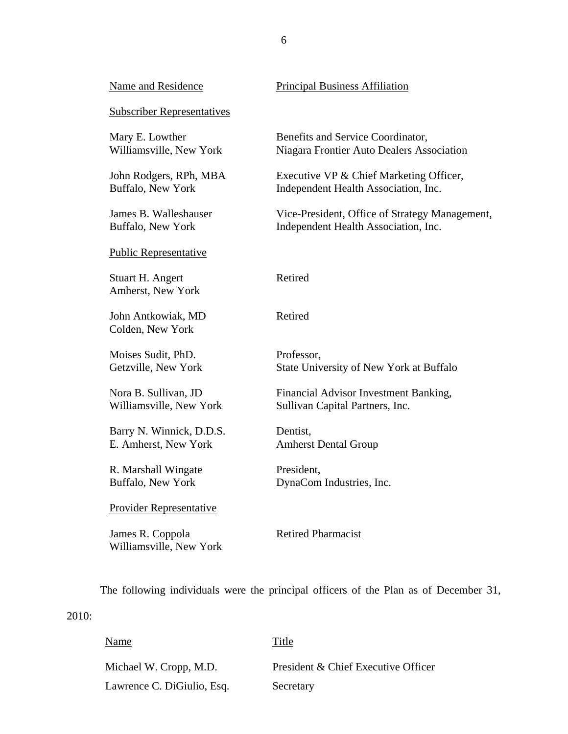| Name and Residence                          | <b>Principal Business Affiliation</b>          |
|---------------------------------------------|------------------------------------------------|
| <b>Subscriber Representatives</b>           |                                                |
| Mary E. Lowther                             | Benefits and Service Coordinator,              |
| Williamsville, New York                     | Niagara Frontier Auto Dealers Association      |
| John Rodgers, RPh, MBA                      | Executive VP & Chief Marketing Officer,        |
| Buffalo, New York                           | Independent Health Association, Inc.           |
| James B. Walleshauser                       | Vice-President, Office of Strategy Management, |
| Buffalo, New York                           | Independent Health Association, Inc.           |
| <b>Public Representative</b>                |                                                |
| Stuart H. Angert<br>Amherst, New York       | Retired                                        |
| John Antkowiak, MD<br>Colden, New York      | Retired                                        |
| Moises Sudit, PhD.                          | Professor,                                     |
| Getzville, New York                         | State University of New York at Buffalo        |
| Nora B. Sullivan, JD                        | Financial Advisor Investment Banking,          |
| Williamsville, New York                     | Sullivan Capital Partners, Inc.                |
| Barry N. Winnick, D.D.S.                    | Dentist,                                       |
| E. Amherst, New York                        | <b>Amherst Dental Group</b>                    |
| R. Marshall Wingate                         | President,                                     |
| Buffalo, New York                           | DynaCom Industries, Inc.                       |
| <b>Provider Representative</b>              |                                                |
| James R. Coppola<br>Williamsville, New York | <b>Retired Pharmacist</b>                      |

The following individuals were the principal officers of the Plan as of December 31,

## 2010:

| Name                       | Title                               |
|----------------------------|-------------------------------------|
| Michael W. Cropp, M.D.     | President & Chief Executive Officer |
| Lawrence C. DiGiulio, Esq. | Secretary                           |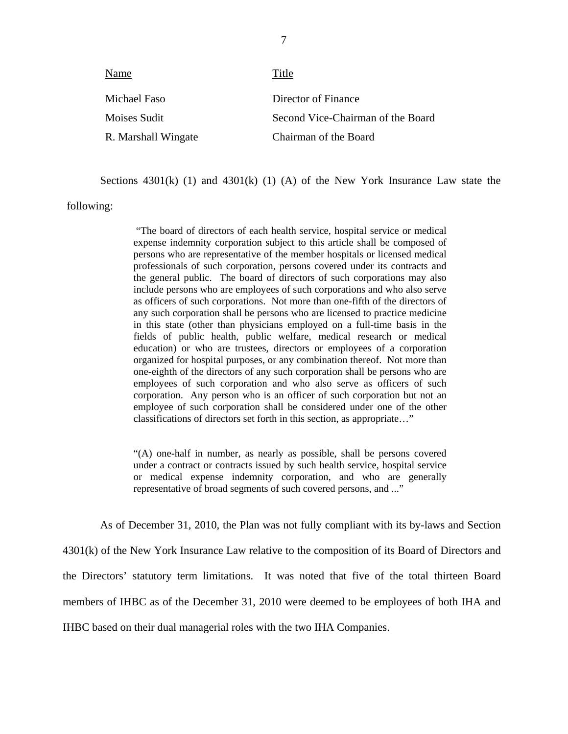| Name                | Title                             |
|---------------------|-----------------------------------|
| Michael Faso        | Director of Finance               |
| Moises Sudit        | Second Vice-Chairman of the Board |
| R. Marshall Wingate | Chairman of the Board             |

Sections  $4301(k)$  (1) and  $4301(k)$  (1) (A) of the New York Insurance Law state the

following:

"The board of directors of each health service, hospital service or medical expense indemnity corporation subject to this article shall be composed of persons who are representative of the member hospitals or licensed medical professionals of such corporation, persons covered under its contracts and the general public. The board of directors of such corporations may also include persons who are employees of such corporations and who also serve as officers of such corporations. Not more than one-fifth of the directors of any such corporation shall be persons who are licensed to practice medicine in this state (other than physicians employed on a full-time basis in the fields of public health, public welfare, medical research or medical education) or who are trustees, directors or employees of a corporation organized for hospital purposes, or any combination thereof. Not more than one-eighth of the directors of any such corporation shall be persons who are employees of such corporation and who also serve as officers of such corporation. Any person who is an officer of such corporation but not an employee of such corporation shall be considered under one of the other classifications of directors set forth in this section, as appropriate…"

"(A) one-half in number, as nearly as possible, shall be persons covered under a contract or contracts issued by such health service, hospital service or medical expense indemnity corporation, and who are generally representative of broad segments of such covered persons, and ..."

As of December 31, 2010, the Plan was not fully compliant with its by-laws and Section 4301(k) of the New York Insurance Law relative to the composition of its Board of Directors and the Directors' statutory term limitations. It was noted that five of the total thirteen Board members of IHBC as of the December 31, 2010 were deemed to be employees of both IHA and IHBC based on their dual managerial roles with the two IHA Companies.

7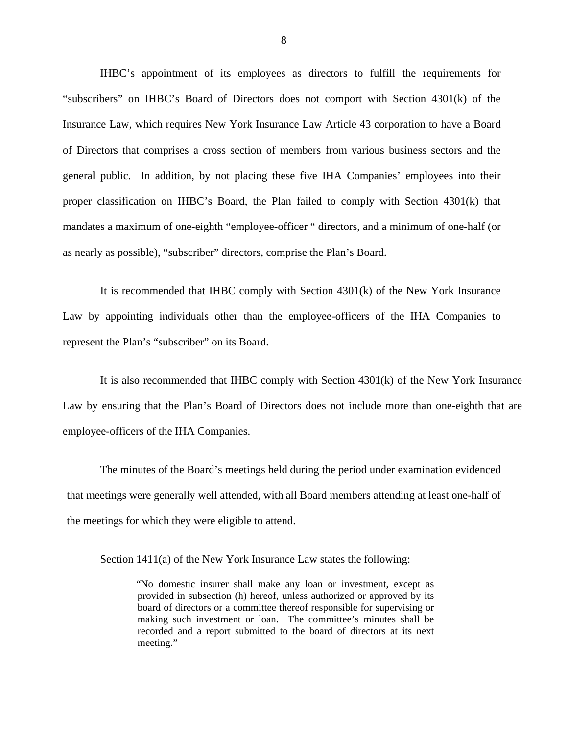IHBC's appointment of its employees as directors to fulfill the requirements for "subscribers" on IHBC's Board of Directors does not comport with Section 4301(k) of the Insurance Law, which requires New York Insurance Law Article 43 corporation to have a Board of Directors that comprises a cross section of members from various business sectors and the general public. In addition, by not placing these five IHA Companies' employees into their proper classification on IHBC's Board, the Plan failed to comply with Section 4301(k) that mandates a maximum of one-eighth "employee-officer " directors, and a minimum of one-half (or as nearly as possible), "subscriber" directors, comprise the Plan's Board.

It is recommended that IHBC comply with Section 4301(k) of the New York Insurance Law by appointing individuals other than the employee-officers of the IHA Companies to represent the Plan's "subscriber" on its Board.

It is also recommended that IHBC comply with Section 4301(k) of the New York Insurance Law by ensuring that the Plan's Board of Directors does not include more than one-eighth that are employee-officers of the IHA Companies.

The minutes of the Board's meetings held during the period under examination evidenced that meetings were generally well attended, with all Board members attending at least one-half of the meetings for which they were eligible to attend.

Section 1411(a) of the New York Insurance Law states the following:

"No domestic insurer shall make any loan or investment, except as provided in subsection (h) hereof, unless authorized or approved by its board of directors or a committee thereof responsible for supervising or making such investment or loan. The committee's minutes shall be recorded and a report submitted to the board of directors at its next meeting."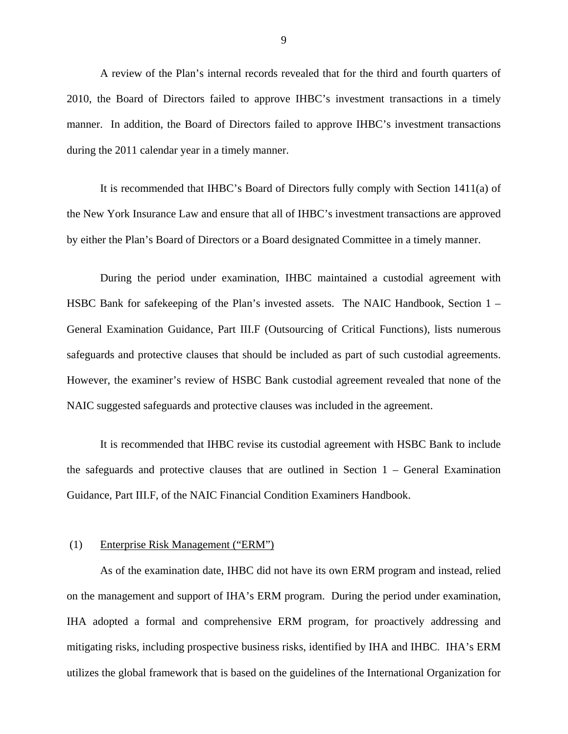A review of the Plan's internal records revealed that for the third and fourth quarters of 2010, the Board of Directors failed to approve IHBC's investment transactions in a timely manner. In addition, the Board of Directors failed to approve IHBC's investment transactions during the 2011 calendar year in a timely manner.

It is recommended that IHBC's Board of Directors fully comply with Section 1411(a) of the New York Insurance Law and ensure that all of IHBC's investment transactions are approved by either the Plan's Board of Directors or a Board designated Committee in a timely manner.

During the period under examination, IHBC maintained a custodial agreement with HSBC Bank for safekeeping of the Plan's invested assets. The NAIC Handbook, Section 1 – General Examination Guidance, Part III.F (Outsourcing of Critical Functions), lists numerous safeguards and protective clauses that should be included as part of such custodial agreements. However, the examiner's review of HSBC Bank custodial agreement revealed that none of the NAIC suggested safeguards and protective clauses was included in the agreement.

It is recommended that IHBC revise its custodial agreement with HSBC Bank to include the safeguards and protective clauses that are outlined in Section 1 – General Examination Guidance, Part III.F, of the NAIC Financial Condition Examiners Handbook.

#### (1) Enterprise Risk Management ("ERM")

As of the examination date, IHBC did not have its own ERM program and instead, relied on the management and support of IHA's ERM program. During the period under examination, IHA adopted a formal and comprehensive ERM program, for proactively addressing and mitigating risks, including prospective business risks, identified by IHA and IHBC. IHA's ERM utilizes the global framework that is based on the guidelines of the International Organization for

9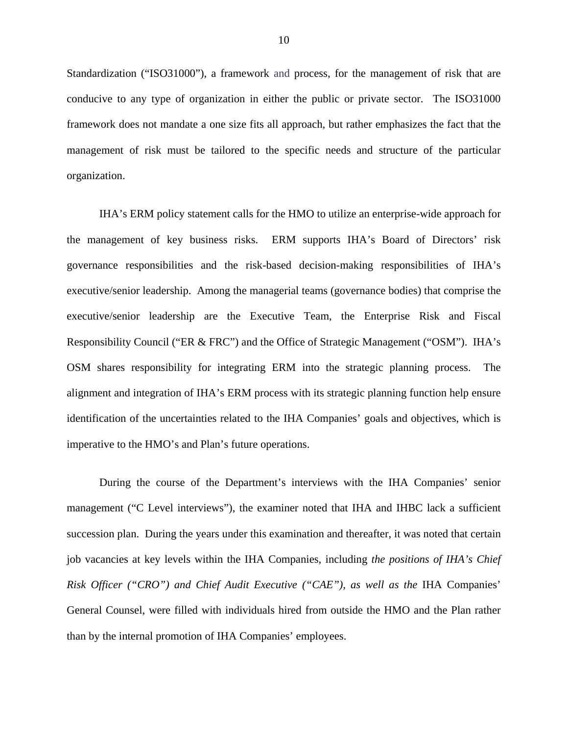Standardization ("ISO31000"), a framework and process, for the management of risk that are conducive to any type of organization in either the public or private sector. The ISO31000 framework does not mandate a one size fits all approach, but rather emphasizes the fact that the management of risk must be tailored to the specific needs and structure of the particular organization.

IHA's ERM policy statement calls for the HMO to utilize an enterprise-wide approach for the management of key business risks. ERM supports IHA's Board of Directors' risk governance responsibilities and the risk-based decision-making responsibilities of IHA's executive/senior leadership. Among the managerial teams (governance bodies) that comprise the executive/senior leadership are the Executive Team, the Enterprise Risk and Fiscal Responsibility Council ("ER & FRC") and the Office of Strategic Management ("OSM"). IHA's OSM shares responsibility for integrating ERM into the strategic planning process. The alignment and integration of IHA's ERM process with its strategic planning function help ensure identification of the uncertainties related to the IHA Companies' goals and objectives, which is imperative to the HMO's and Plan's future operations.

During the course of the Department's interviews with the IHA Companies' senior management ("C Level interviews"), the examiner noted that IHA and IHBC lack a sufficient succession plan. During the years under this examination and thereafter, it was noted that certain job vacancies at key levels within the IHA Companies, including *the positions of IHA's Chief Risk Officer ("CRO") and Chief Audit Executive ("CAE"), as well as the* IHA Companies' General Counsel, were filled with individuals hired from outside the HMO and the Plan rather than by the internal promotion of IHA Companies' employees.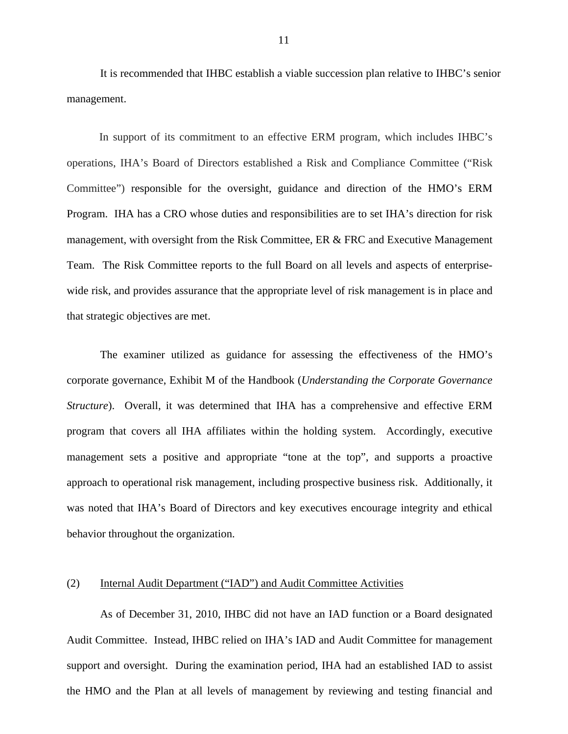It is recommended that IHBC establish a viable succession plan relative to IHBC's senior management.

In support of its commitment to an effective ERM program, which includes IHBC's operations, IHA's Board of Directors established a Risk and Compliance Committee ("Risk Committee") responsible for the oversight, guidance and direction of the HMO's ERM Program. IHA has a CRO whose duties and responsibilities are to set IHA's direction for risk management, with oversight from the Risk Committee, ER & FRC and Executive Management Team. The Risk Committee reports to the full Board on all levels and aspects of enterprisewide risk, and provides assurance that the appropriate level of risk management is in place and that strategic objectives are met.

The examiner utilized as guidance for assessing the effectiveness of the HMO's corporate governance, Exhibit M of the Handbook (*Understanding the Corporate Governance Structure*). Overall, it was determined that IHA has a comprehensive and effective ERM program that covers all IHA affiliates within the holding system. Accordingly, executive management sets a positive and appropriate "tone at the top", and supports a proactive approach to operational risk management, including prospective business risk. Additionally, it was noted that IHA's Board of Directors and key executives encourage integrity and ethical behavior throughout the organization.

#### (2) Internal Audit Department ("IAD") and Audit Committee Activities

As of December 31, 2010, IHBC did not have an IAD function or a Board designated Audit Committee. Instead, IHBC relied on IHA's IAD and Audit Committee for management support and oversight. During the examination period, IHA had an established IAD to assist the HMO and the Plan at all levels of management by reviewing and testing financial and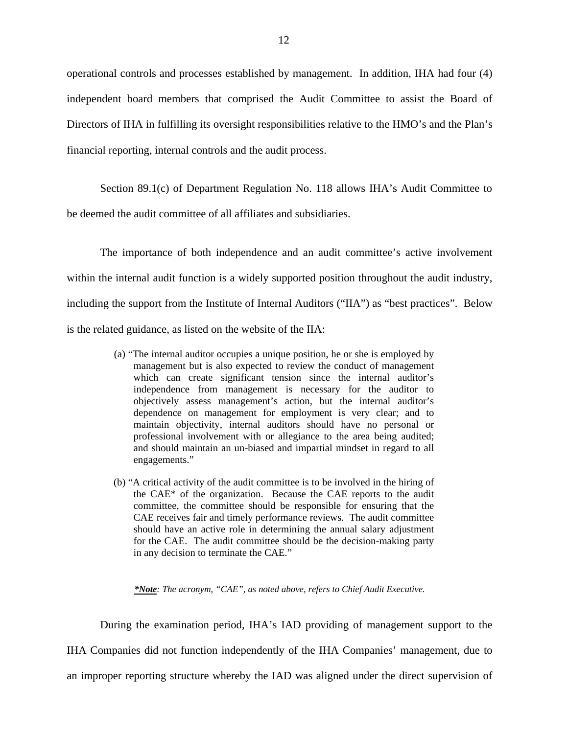operational controls and processes established by management. In addition, IHA had four (4) independent board members that comprised the Audit Committee to assist the Board of Directors of IHA in fulfilling its oversight responsibilities relative to the HMO's and the Plan's financial reporting, internal controls and the audit process.

Section 89.1(c) of Department Regulation No. 118 allows IHA's Audit Committee to be deemed the audit committee of all affiliates and subsidiaries.

The importance of both independence and an audit committee's active involvement within the internal audit function is a widely supported position throughout the audit industry, including the support from the Institute of Internal Auditors ("IIA") as "best practices". Below is the related guidance, as listed on the website of the IIA:

- (a) "The internal auditor occupies a unique position, he or she is employed by management but is also expected to review the conduct of management which can create significant tension since the internal auditor's independence from management is necessary for the auditor to objectively assess management's action, but the internal auditor's dependence on management for employment is very clear; and to maintain objectivity, internal auditors should have no personal or professional involvement with or allegiance to the area being audited; and should maintain an un-biased and impartial mindset in regard to all engagements."
- (b) "A critical activity of the audit committee is to be involved in the hiring of the CAE\* of the organization. Because the CAE reports to the audit committee, the committee should be responsible for ensuring that the CAE receives fair and timely performance reviews. The audit committee should have an active role in determining the annual salary adjustment for the CAE. The audit committee should be the decision-making party in any decision to terminate the CAE."

*\*Note: The acronym, "CAE", as noted above, refers to Chief Audit Executive.* 

During the examination period, IHA's IAD providing of management support to the IHA Companies did not function independently of the IHA Companies' management, due to an improper reporting structure whereby the IAD was aligned under the direct supervision of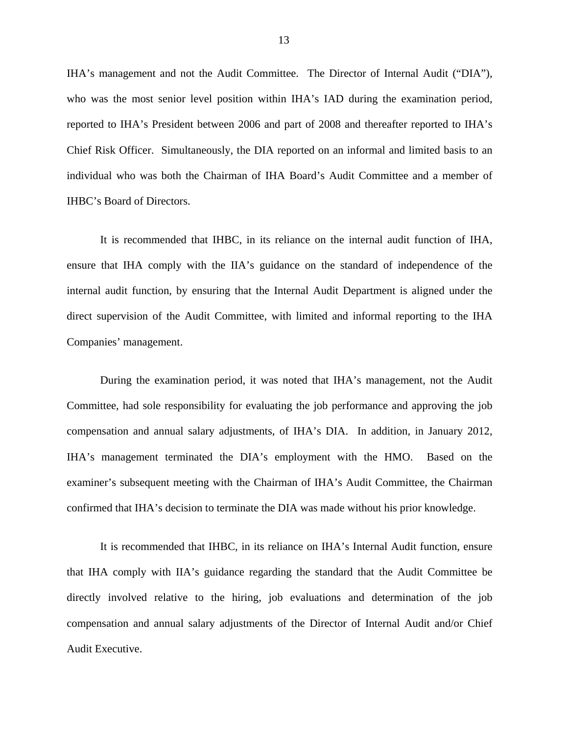IHA's management and not the Audit Committee. The Director of Internal Audit ("DIA"), who was the most senior level position within IHA's IAD during the examination period, reported to IHA's President between 2006 and part of 2008 and thereafter reported to IHA's Chief Risk Officer. Simultaneously, the DIA reported on an informal and limited basis to an individual who was both the Chairman of IHA Board's Audit Committee and a member of IHBC's Board of Directors.

It is recommended that IHBC, in its reliance on the internal audit function of IHA, ensure that IHA comply with the IIA's guidance on the standard of independence of the internal audit function, by ensuring that the Internal Audit Department is aligned under the direct supervision of the Audit Committee, with limited and informal reporting to the IHA Companies' management.

During the examination period, it was noted that IHA's management, not the Audit Committee, had sole responsibility for evaluating the job performance and approving the job compensation and annual salary adjustments, of IHA's DIA. In addition, in January 2012, IHA's management terminated the DIA's employment with the HMO. Based on the examiner's subsequent meeting with the Chairman of IHA's Audit Committee, the Chairman confirmed that IHA's decision to terminate the DIA was made without his prior knowledge.

It is recommended that IHBC, in its reliance on IHA's Internal Audit function, ensure that IHA comply with IIA's guidance regarding the standard that the Audit Committee be directly involved relative to the hiring, job evaluations and determination of the job compensation and annual salary adjustments of the Director of Internal Audit and/or Chief Audit Executive.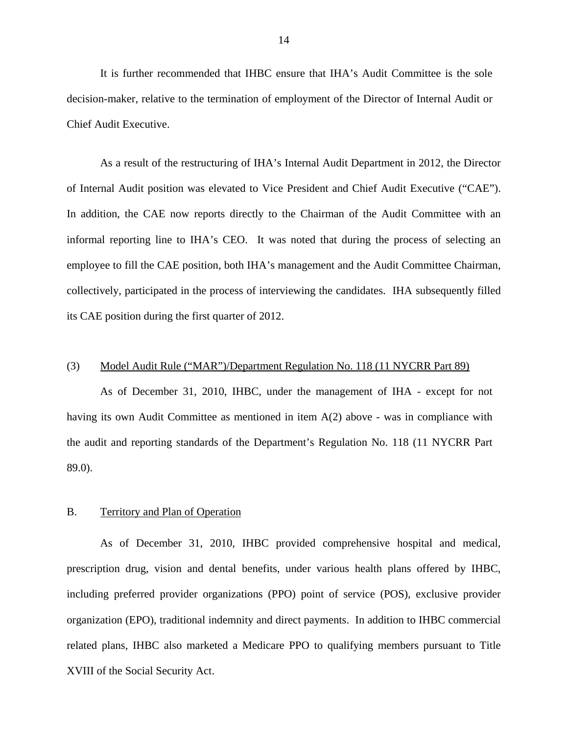<span id="page-15-0"></span>It is further recommended that IHBC ensure that IHA's Audit Committee is the sole decision-maker, relative to the termination of employment of the Director of Internal Audit or Chief Audit Executive.

of Internal Audit position was elevated to Vice President and Chief Audit Executive ("CAE"). As a result of the restructuring of IHA's Internal Audit Department in 2012, the Director In addition, the CAE now reports directly to the Chairman of the Audit Committee with an informal reporting line to IHA's CEO. It was noted that during the process of selecting an employee to fill the CAE position, both IHA's management and the Audit Committee Chairman, collectively, participated in the process of interviewing the candidates. IHA subsequently filled its CAE position during the first quarter of 2012.

#### (3) Model Audit Rule ("MAR")/Department Regulation No. 118 (11 NYCRR Part 89)

As of December 31, 2010, IHBC, under the management of IHA - except for not having its own Audit Committee as mentioned in item A(2) above - was in compliance with the audit and reporting standards of the Department's Regulation No. 118 (11 NYCRR Part 89.0).

#### B. Territory and Plan of Operation

As of December 31, 2010, IHBC provided comprehensive hospital and medical, prescription drug, vision and dental benefits, under various health plans offered by IHBC, including preferred provider organizations (PPO) point of service (POS), exclusive provider organization (EPO), traditional indemnity and direct payments. In addition to IHBC commercial related plans, IHBC also marketed a Medicare PPO to qualifying members pursuant to Title XVIII of the Social Security Act.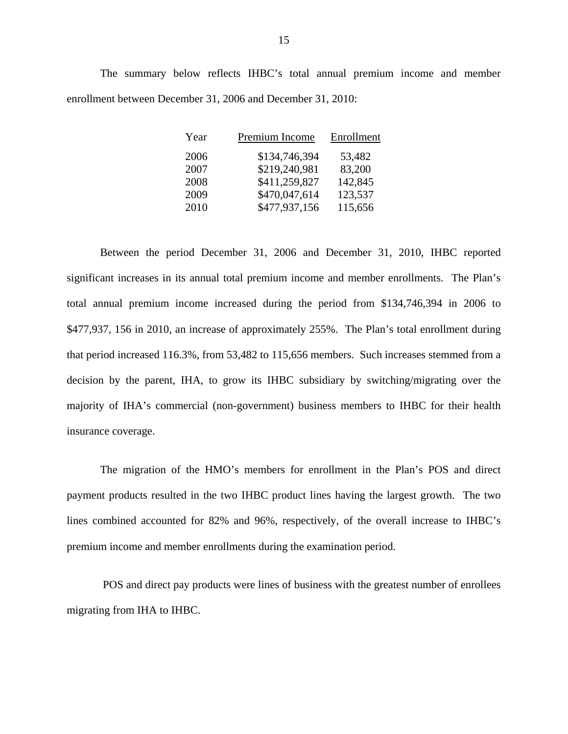The summary below reflects IHBC's total annual premium income and member enrollment between December 31, 2006 and December 31, 2010:

| Year | Premium Income | Enrollment |
|------|----------------|------------|
| 2006 | \$134,746,394  | 53,482     |
| 2007 | \$219,240,981  | 83,200     |
| 2008 | \$411,259,827  | 142,845    |
| 2009 | \$470,047,614  | 123,537    |
| 2010 | \$477,937,156  | 115,656    |

Between the period December 31, 2006 and December 31, 2010, IHBC reported significant increases in its annual total premium income and member enrollments. The Plan's total annual premium income increased during the period from \$134,746,394 in 2006 to \$477,937, 156 in 2010, an increase of approximately 255%. The Plan's total enrollment during that period increased 116.3%, from 53,482 to 115,656 members. Such increases stemmed from a decision by the parent, IHA, to grow its IHBC subsidiary by switching/migrating over the majority of IHA's commercial (non-government) business members to IHBC for their health insurance coverage.

The migration of the HMO's members for enrollment in the Plan's POS and direct payment products resulted in the two IHBC product lines having the largest growth. The two lines combined accounted for 82% and 96%, respectively, of the overall increase to IHBC's premium income and member enrollments during the examination period.

POS and direct pay products were lines of business with the greatest number of enrollees migrating from IHA to IHBC.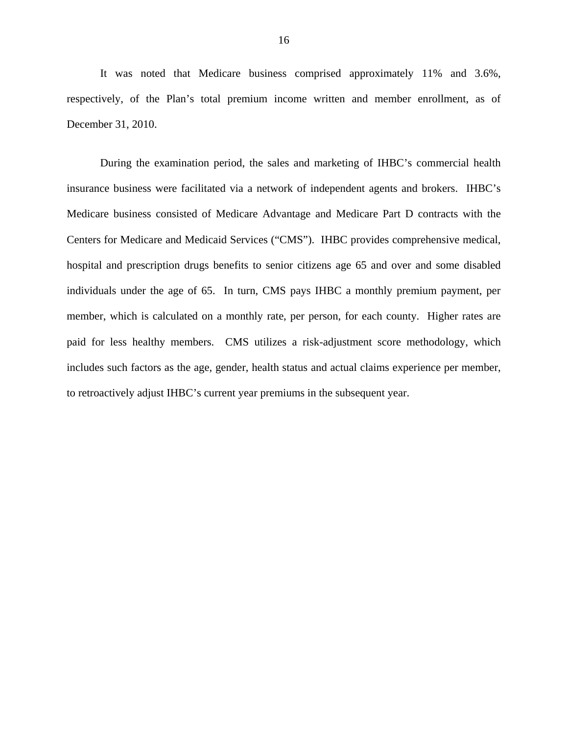It was noted that Medicare business comprised approximately 11% and 3.6%, respectively, of the Plan's total premium income written and member enrollment, as of December 31, 2010.

During the examination period, the sales and marketing of IHBC's commercial health insurance business were facilitated via a network of independent agents and brokers. IHBC's Medicare business consisted of Medicare Advantage and Medicare Part D contracts with the Centers for Medicare and Medicaid Services ("CMS"). IHBC provides comprehensive medical, hospital and prescription drugs benefits to senior citizens age 65 and over and some disabled individuals under the age of 65. In turn, CMS pays IHBC a monthly premium payment, per member, which is calculated on a monthly rate, per person, for each county. Higher rates are paid for less healthy members. CMS utilizes a risk-adjustment score methodology, which includes such factors as the age, gender, health status and actual claims experience per member, to retroactively adjust IHBC's current year premiums in the subsequent year.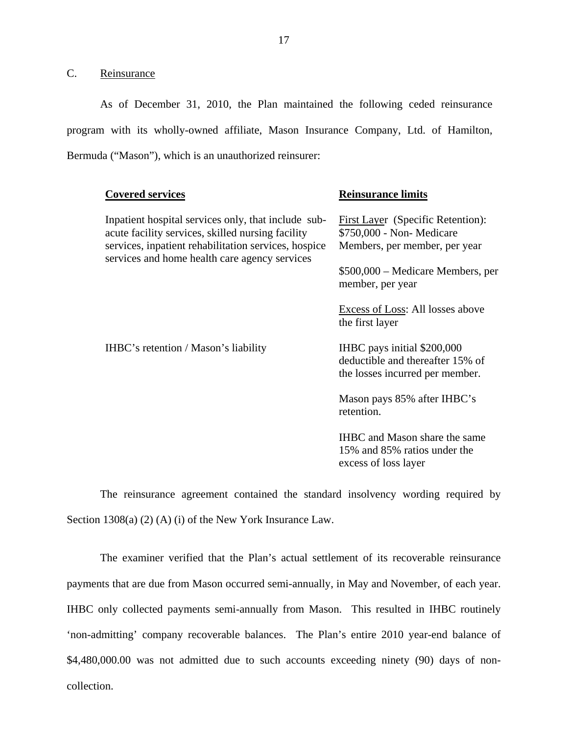C. Reinsurance

As of December 31, 2010, the Plan maintained the following ceded reinsurance program with its wholly-owned affiliate, Mason Insurance Company, Ltd. of Hamilton, Bermuda ("Mason"), which is an unauthorized reinsurer:

| <b>Covered services</b>                                                                                                                                          | <b>Reinsurance limits</b>                                                                          |
|------------------------------------------------------------------------------------------------------------------------------------------------------------------|----------------------------------------------------------------------------------------------------|
| Inpatient hospital services only, that include sub-<br>acute facility services, skilled nursing facility<br>services, inpatient rehabilitation services, hospice | First Layer (Specific Retention):<br>\$750,000 - Non- Medicare<br>Members, per member, per year    |
| services and home health care agency services                                                                                                                    | \$500,000 – Medicare Members, per<br>member, per year                                              |
|                                                                                                                                                                  | <b>Excess of Loss:</b> All losses above<br>the first layer                                         |
| IHBC's retention / Mason's liability                                                                                                                             | IHBC pays initial \$200,000<br>deductible and thereafter 15% of<br>the losses incurred per member. |
|                                                                                                                                                                  | Mason pays 85% after IHBC's<br>retention.                                                          |
|                                                                                                                                                                  | <b>IHBC</b> and Mason share the same<br>15% and 85% ratios under the<br>excess of loss layer       |
|                                                                                                                                                                  |                                                                                                    |

The reinsurance agreement contained the standard insolvency wording required by Section 1308(a) (2) (A) (i) of the New York Insurance Law.

payments that are due from Mason occurred semi-annually, in May and November, of each year. 'non-admitting' company recoverable balances. The Plan's entire 2010 year-end balance of The examiner verified that the Plan's actual settlement of its recoverable reinsurance IHBC only collected payments semi-annually from Mason. This resulted in IHBC routinely \$[4,480,000.00](https://4,480,000.00) was not admitted due to such accounts exceeding ninety (90) days of noncollection.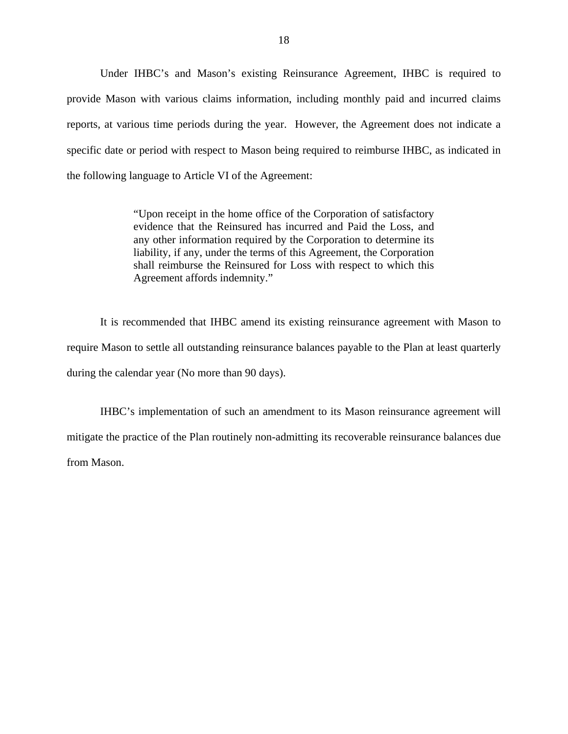Under IHBC's and Mason's existing Reinsurance Agreement, IHBC is required to provide Mason with various claims information, including monthly paid and incurred claims reports, at various time periods during the year. However, the Agreement does not indicate a specific date or period with respect to Mason being required to reimburse IHBC, as indicated in the following language to Article VI of the Agreement:

> "Upon receipt in the home office of the Corporation of satisfactory evidence that the Reinsured has incurred and Paid the Loss, and any other information required by the Corporation to determine its liability, if any, under the terms of this Agreement, the Corporation shall reimburse the Reinsured for Loss with respect to which this Agreement affords indemnity."

It is recommended that IHBC amend its existing reinsurance agreement with Mason to require Mason to settle all outstanding reinsurance balances payable to the Plan at least quarterly during the calendar year (No more than 90 days).

IHBC's implementation of such an amendment to its Mason reinsurance agreement will mitigate the practice of the Plan routinely non-admitting its recoverable reinsurance balances due from Mason.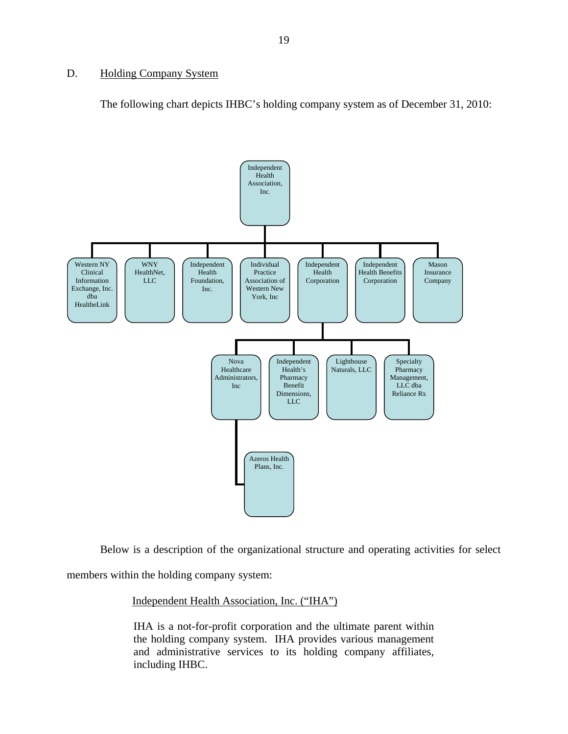## <span id="page-20-0"></span>D. Holding Company System

The following chart depicts IHBC's holding company system as of December 31, 2010:



Below is a description of the organizational structure and operating activities for select

members within the holding company system:

### Independent Health Association, Inc. ("IHA")

IHA is a not-for-profit corporation and the ultimate parent within the holding company system. IHA provides various management and administrative services to its holding company affiliates, including IHBC.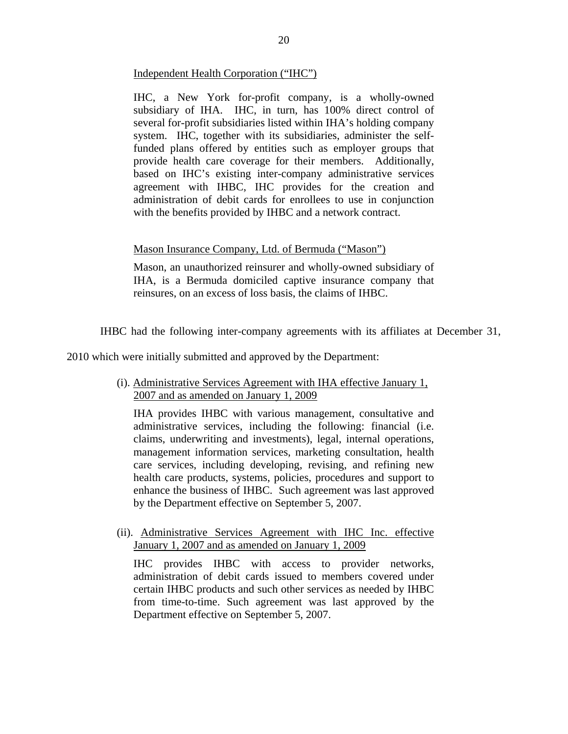## Independent Health Corporation ("IHC")

IHC, a New York for-profit company, is a wholly-owned subsidiary of IHA. IHC, in turn, has 100% direct control of several for-profit subsidiaries listed within IHA's holding company system. IHC, together with its subsidiaries, administer the selffunded plans offered by entities such as employer groups that provide health care coverage for their members. Additionally, based on IHC's existing inter-company administrative services agreement with IHBC, IHC provides for the creation and administration of debit cards for enrollees to use in conjunction with the benefits provided by IHBC and a network contract.

## Mason Insurance Company, Ltd. of Bermuda ("Mason")

Mason, an unauthorized reinsurer and wholly-owned subsidiary of IHA, is a Bermuda domiciled captive insurance company that reinsures, on an excess of loss basis, the claims of IHBC.

IHBC had the following inter-company agreements with its affiliates at December 31,

2010 which were initially submitted and approved by the Department:

(i). Administrative Services Agreement with IHA effective January 1, 2007 and as amended on January 1, 2009

IHA provides IHBC with various management, consultative and administrative services, including the following: financial (i.e. claims, underwriting and investments), legal, internal operations, management information services, marketing consultation, health care services, including developing, revising, and refining new health care products, systems, policies, procedures and support to enhance the business of IHBC. Such agreement was last approved by the Department effective on September 5, 2007.

(ii). Administrative Services Agreement with IHC Inc. effective January 1, 2007 and as amended on January 1, 2009

IHC provides IHBC with access to provider networks, administration of debit cards issued to members covered under certain IHBC products and such other services as needed by IHBC from time-to-time. Such agreement was last approved by the Department effective on September 5, 2007.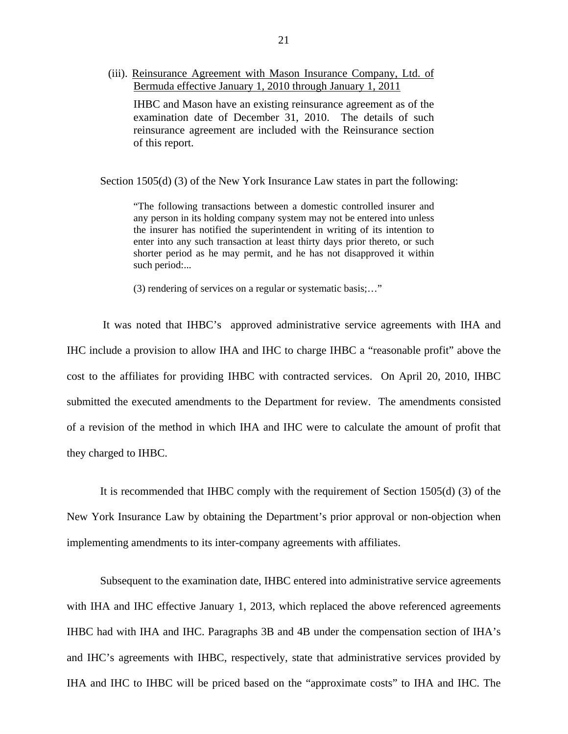(iii). Reinsurance Agreement with Mason Insurance Company, Ltd. of Bermuda effective January 1, 2010 through January 1, 2011

IHBC and Mason have an existing reinsurance agreement as of the examination date of December 31, 2010. The details of such reinsurance agreement are included with the Reinsurance section of this report.

Section 1505(d) (3) of the New York Insurance Law states in part the following:

"The following transactions between a domestic controlled insurer and any person in its holding company system may not be entered into unless the insurer has notified the superintendent in writing of its intention to enter into any such transaction at least thirty days prior thereto, or such shorter period as he may permit, and he has not disapproved it within such period:...

(3) rendering of services on a regular or systematic basis;…"

It was noted that IHBC's approved administrative service agreements with IHA and IHC include a provision to allow IHA and IHC to charge IHBC a "reasonable profit" above the cost to the affiliates for providing IHBC with contracted services. On April 20, 2010, IHBC submitted the executed amendments to the Department for review. The amendments consisted of a revision of the method in which IHA and IHC were to calculate the amount of profit that they charged to IHBC.

It is recommended that IHBC comply with the requirement of Section 1505(d) (3) of the New York Insurance Law by obtaining the Department's prior approval or non-objection when implementing amendments to its inter-company agreements with affiliates.

Subsequent to the examination date, IHBC entered into administrative service agreements with IHA and IHC effective January 1, 2013, which replaced the above referenced agreements IHBC had with IHA and IHC. Paragraphs 3B and 4B under the compensation section of IHA's and IHC's agreements with IHBC, respectively, state that administrative services provided by IHA and IHC to IHBC will be priced based on the "approximate costs" to IHA and IHC. The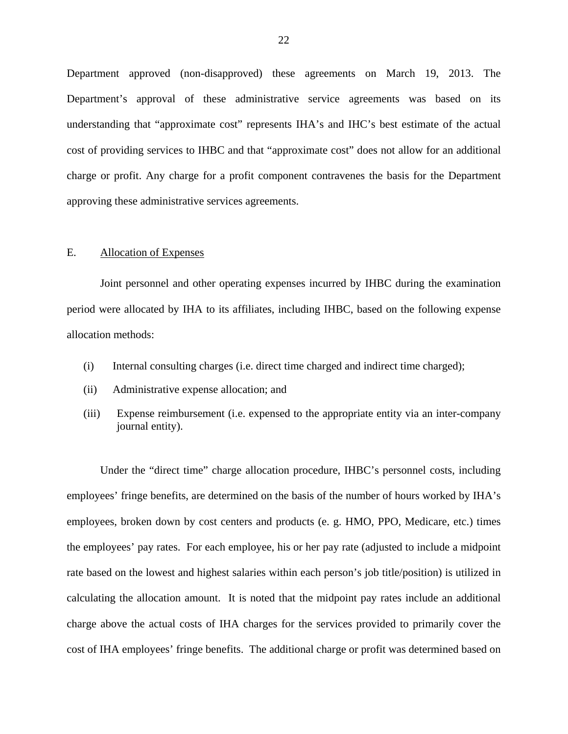Department approved (non-disapproved) these agreements on March 19, 2013. The Department's approval of these administrative service agreements was based on its understanding that "approximate cost" represents IHA's and IHC's best estimate of the actual cost of providing services to IHBC and that "approximate cost" does not allow for an additional charge or profit. Any charge for a profit component contravenes the basis for the Department approving these administrative services agreements.

#### E. Allocation of Expenses

Joint personnel and other operating expenses incurred by IHBC during the examination period were allocated by IHA to its affiliates, including IHBC, based on the following expense allocation methods:

- (i) Internal consulting charges (i.e. direct time charged and indirect time charged);
- (ii) Administrative expense allocation; and
- (iii) Expense reimbursement (i.e. expensed to the appropriate entity via an inter-company journal entity).

Under the "direct time" charge allocation procedure, IHBC's personnel costs, including employees' fringe benefits, are determined on the basis of the number of hours worked by IHA's employees, broken down by cost centers and products (e. g. HMO, PPO, Medicare, etc.) times the employees' pay rates. For each employee, his or her pay rate (adjusted to include a midpoint rate based on the lowest and highest salaries within each person's job title/position) is utilized in calculating the allocation amount. It is noted that the midpoint pay rates include an additional charge above the actual costs of IHA charges for the services provided to primarily cover the cost of IHA employees' fringe benefits. The additional charge or profit was determined based on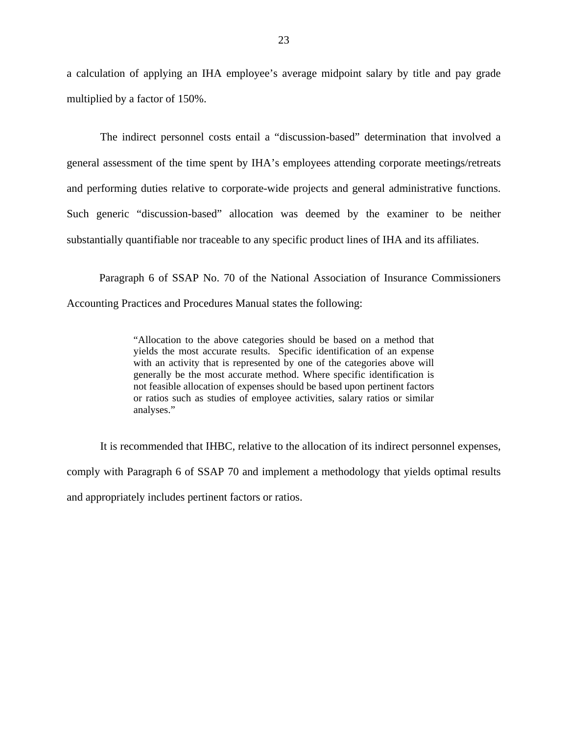a calculation of applying an IHA employee's average midpoint salary by title and pay grade multiplied by a factor of 150%.

The indirect personnel costs entail a "discussion-based" determination that involved a general assessment of the time spent by IHA's employees attending corporate meetings/retreats and performing duties relative to corporate-wide projects and general administrative functions. Such generic "discussion-based" allocation was deemed by the examiner to be neither substantially quantifiable nor traceable to any specific product lines of IHA and its affiliates.

Paragraph 6 of SSAP No. 70 of the National Association of Insurance Commissioners Accounting Practices and Procedures Manual states the following:

> "Allocation to the above categories should be based on a method that yields the most accurate results. Specific identification of an expense with an activity that is represented by one of the categories above will generally be the most accurate method. Where specific identification is not feasible allocation of expenses should be based upon pertinent factors or ratios such as studies of employee activities, salary ratios or similar analyses."

It is recommended that IHBC, relative to the allocation of its indirect personnel expenses, comply with Paragraph 6 of SSAP 70 and implement a methodology that yields optimal results and appropriately includes pertinent factors or ratios.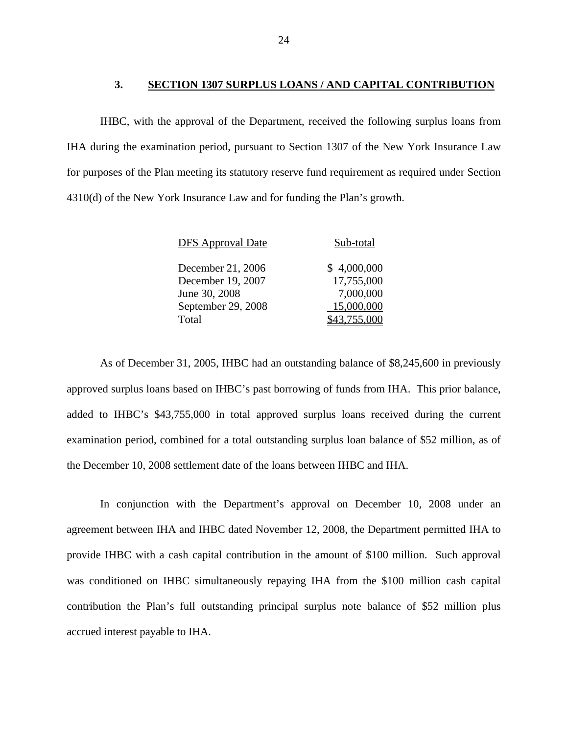## **3. SECTION 1307 SURPLUS LOANS / AND CAPITAL CONTRIBUTION**

<span id="page-25-0"></span>IHBC, with the approval of the Department, received the following surplus loans from IHA during the examination period, pursuant to Section 1307 of the New York Insurance Law for purposes of the Plan meeting its statutory reserve fund requirement as required under Section 4310(d) of the New York Insurance Law and for funding the Plan's growth.

| <b>DFS</b> Approval Date | Sub-total    |
|--------------------------|--------------|
| December 21, 2006        | \$4,000,000  |
| December 19, 2007        | 17,755,000   |
| June 30, 2008            | 7,000,000    |
| September 29, 2008       | 15,000,000   |
| Total                    | \$43,755,000 |

As of December 31, 2005, IHBC had an outstanding balance of \$8,245,600 in previously approved surplus loans based on IHBC's past borrowing of funds from IHA. This prior balance, added to IHBC's \$43,755,000 in total approved surplus loans received during the current examination period, combined for a total outstanding surplus loan balance of \$52 million, as of the December 10, 2008 settlement date of the loans between IHBC and IHA.

In conjunction with the Department's approval on December 10, 2008 under an agreement between IHA and IHBC dated November 12, 2008, the Department permitted IHA to provide IHBC with a cash capital contribution in the amount of \$100 million. Such approval was conditioned on IHBC simultaneously repaying IHA from the \$100 million cash capital contribution the Plan's full outstanding principal surplus note balance of \$52 million plus accrued interest payable to IHA.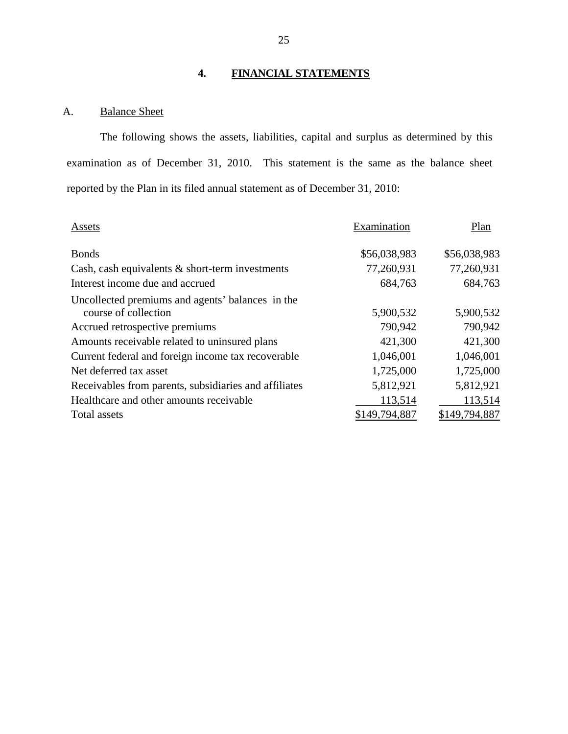## **4. FINANCIAL STATEMENTS**

## A. Balance Sheet

The following shows the assets, liabilities, capital and surplus as determined by this examination as of December 31, 2010. This statement is the same as the balance sheet reported by the Plan in its filed annual statement as of December 31, 2010:

| Assets                                                | Examination   | Plan          |
|-------------------------------------------------------|---------------|---------------|
| <b>Bonds</b>                                          | \$56,038,983  | \$56,038,983  |
| Cash, cash equivalents $\&$ short-term investments    | 77,260,931    | 77,260,931    |
| Interest income due and accrued                       | 684,763       | 684,763       |
| Uncollected premiums and agents' balances in the      |               |               |
| course of collection                                  | 5,900,532     | 5,900,532     |
| Accrued retrospective premiums                        | 790,942       | 790,942       |
| Amounts receivable related to uninsured plans         | 421,300       | 421,300       |
| Current federal and foreign income tax recoverable    | 1,046,001     | 1,046,001     |
| Net deferred tax asset                                | 1,725,000     | 1,725,000     |
| Receivables from parents, subsidiaries and affiliates | 5,812,921     | 5,812,921     |
| Healthcare and other amounts receivable               | 113,514       | 113,514       |
| Total assets                                          | \$149,794,887 | \$149,794,887 |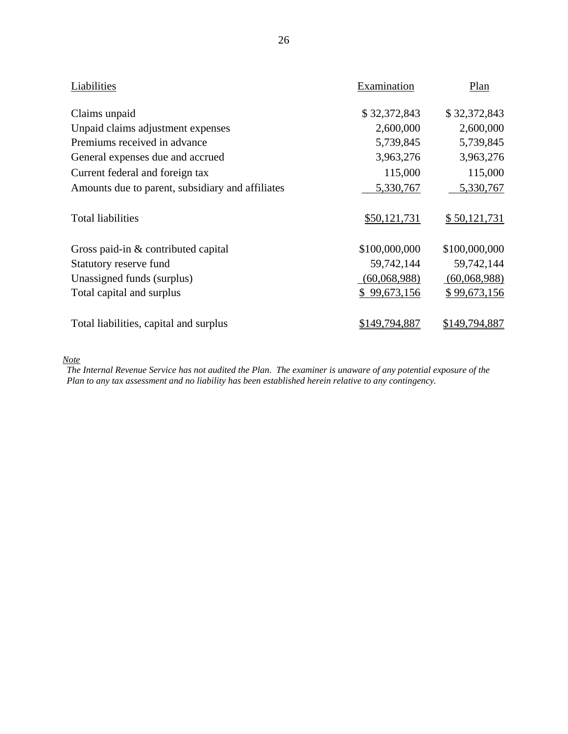| Liabilities                                      | Examination   | Plan          |
|--------------------------------------------------|---------------|---------------|
| Claims unpaid                                    | \$32,372,843  | \$32,372,843  |
| Unpaid claims adjustment expenses                | 2,600,000     | 2,600,000     |
| Premiums received in advance                     | 5,739,845     | 5,739,845     |
| General expenses due and accrued                 | 3,963,276     | 3,963,276     |
| Current federal and foreign tax                  | 115,000       | 115,000       |
| Amounts due to parent, subsidiary and affiliates | 5,330,767     | 5,330,767     |
| <b>Total liabilities</b>                         | \$50,121,731  | \$50,121,731  |
| Gross paid-in & contributed capital              | \$100,000,000 | \$100,000,000 |
| Statutory reserve fund                           | 59,742,144    | 59,742,144    |
| Unassigned funds (surplus)                       | (60,068,988)  | (60,068,988)  |
| Total capital and surplus                        | \$99,673,156  | \$99,673,156  |
| Total liabilities, capital and surplus           | \$149,794,887 | \$149,794,887 |

*Note* 

 *The Internal Revenue Service has not audited the Plan. The examiner is unaware of any potential exposure of the Plan to any tax assessment and no liability has been established herein relative to any contingency.*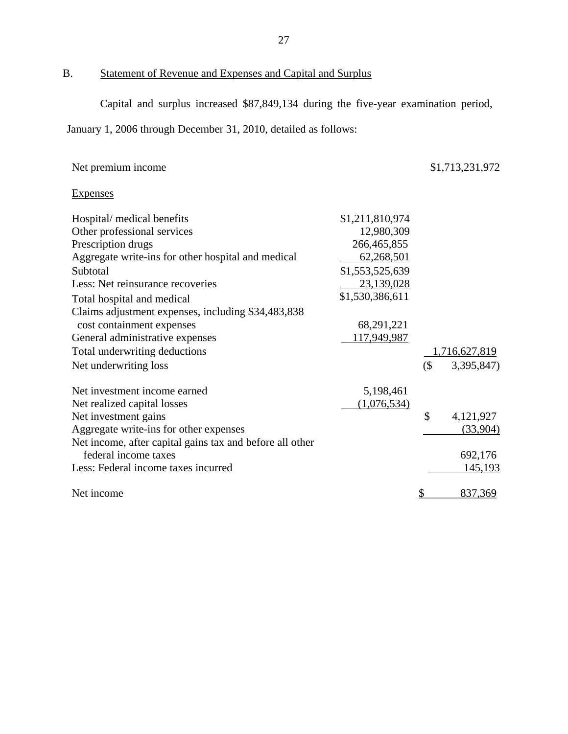# B. Statement of Revenue and Expenses and Capital and Surplus

Capital and surplus increased \$87,849,134 during the five-year examination period,

January 1, 2006 through December 31, 2010, detailed as follows:

| Net premium income                                       |                 |        | \$1,713,231,972 |
|----------------------------------------------------------|-----------------|--------|-----------------|
| Expenses                                                 |                 |        |                 |
| Hospital/ medical benefits                               | \$1,211,810,974 |        |                 |
| Other professional services                              | 12,980,309      |        |                 |
| Prescription drugs                                       | 266,465,855     |        |                 |
| Aggregate write-ins for other hospital and medical       | 62,268,501      |        |                 |
| Subtotal                                                 | \$1,553,525,639 |        |                 |
| Less: Net reinsurance recoveries                         | 23,139,028      |        |                 |
| Total hospital and medical                               | \$1,530,386,611 |        |                 |
| Claims adjustment expenses, including \$34,483,838       |                 |        |                 |
| cost containment expenses                                | 68,291,221      |        |                 |
| General administrative expenses                          | 117,949,987     |        |                 |
| Total underwriting deductions                            |                 |        | 1,716,627,819   |
| Net underwriting loss                                    |                 | $($ \$ | 3,395,847)      |
| Net investment income earned                             | 5,198,461       |        |                 |
| Net realized capital losses                              | (1,076,534)     |        |                 |
| Net investment gains                                     |                 | \$     | 4,121,927       |
| Aggregate write-ins for other expenses                   |                 |        | (33,904)        |
| Net income, after capital gains tax and before all other |                 |        |                 |
| federal income taxes                                     |                 |        | 692,176         |
| Less: Federal income taxes incurred                      |                 |        | <u>145,193</u>  |
| Net income                                               |                 |        | 837,369         |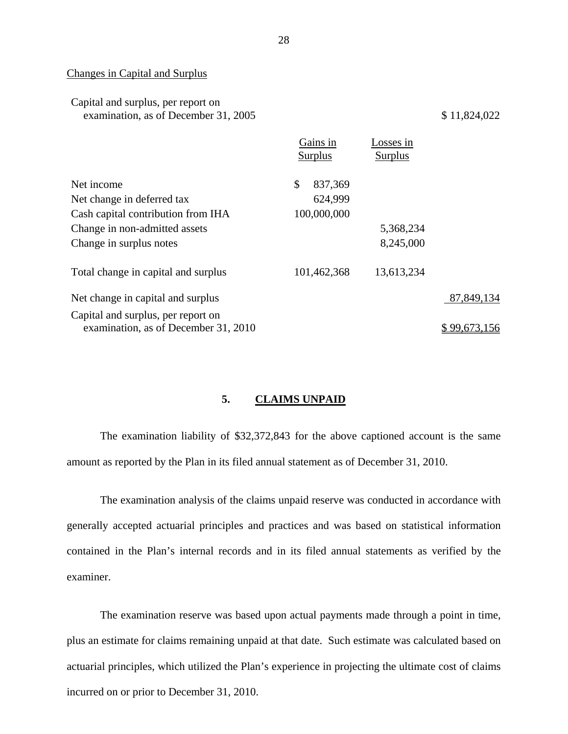#### Changes in Capital and Surplus

| Capital and surplus, per report on   |  |
|--------------------------------------|--|
| examination, as of December 31, 2005 |  |

 $$ 11,824,022$ 

|                                                                            | Gains in<br><b>Surplus</b> | osses in<br><b>Surplus</b> |              |
|----------------------------------------------------------------------------|----------------------------|----------------------------|--------------|
| Net income                                                                 | \$<br>837,369              |                            |              |
| Net change in deferred tax                                                 | 624,999                    |                            |              |
| Cash capital contribution from IHA                                         | 100,000,000                |                            |              |
| Change in non-admitted assets                                              |                            | 5,368,234                  |              |
| Change in surplus notes                                                    |                            | 8,245,000                  |              |
| Total change in capital and surplus                                        | 101,462,368                | 13,613,234                 |              |
| Net change in capital and surplus                                          |                            |                            | 87,849,134   |
| Capital and surplus, per report on<br>examination, as of December 31, 2010 |                            |                            | \$99,673,156 |

## **5. CLAIMS UNPAID**

 The examination liability of \$32,372,843 for the above captioned account is the same amount as reported by the Plan in its filed annual statement as of December 31, 2010.

The examination analysis of the claims unpaid reserve was conducted in accordance with generally accepted actuarial principles and practices and was based on statistical information contained in the Plan's internal records and in its filed annual statements as verified by the examiner.

The examination reserve was based upon actual payments made through a point in time, plus an estimate for claims remaining unpaid at that date. Such estimate was calculated based on actuarial principles, which utilized the Plan's experience in projecting the ultimate cost of claims incurred on or prior to December 31, 2010.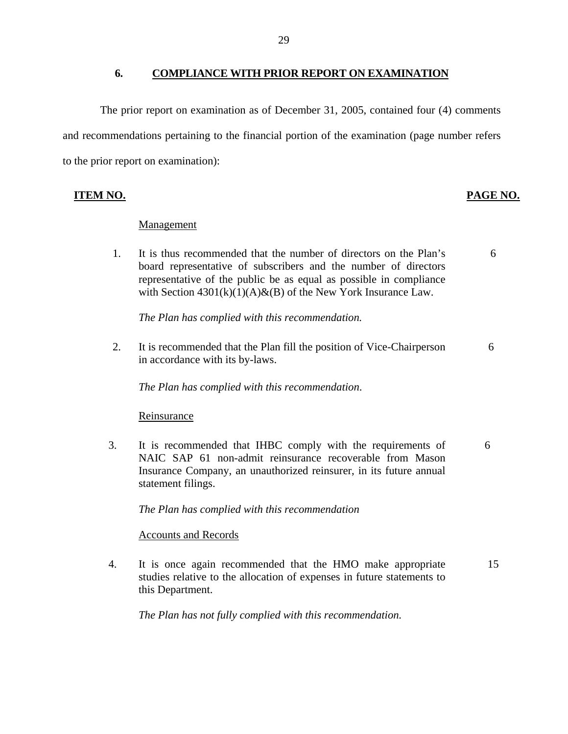## **6. COMPLIANCE WITH PRIOR REPORT ON EXAMINATION**

<span id="page-30-0"></span>The prior report on examination as of December 31, 2005, contained four (4) comments and recommendations pertaining to the financial portion of the examination (page number refers to the prior report on examination):

## **ITEM NO. PAGE NO.**

## Management

1. It is thus recommended that the number of directors on the Plan's board representative of subscribers and the number of directors representative of the public be as equal as possible in compliance with Section  $4301(k)(1)(A) & (B)$  of the New York Insurance Law. 6

*The Plan has complied with this recommendation.* 

2. It is recommended that the Plan fill the position of Vice-Chairperson 6 in accordance with its by-laws.

*The Plan has complied with this recommendation*.

### **Reinsurance**

3. It is recommended that IHBC comply with the requirements of 6 NAIC SAP 61 non-admit reinsurance recoverable from Mason Insurance Company, an unauthorized reinsurer, in its future annual statement filings.

*The Plan has complied with this recommendation* 

## Accounts and Records

4. It is once again recommended that the HMO make appropriate studies relative to the allocation of expenses in future statements to this Department. 15

*The Plan has not fully complied with this recommendation.*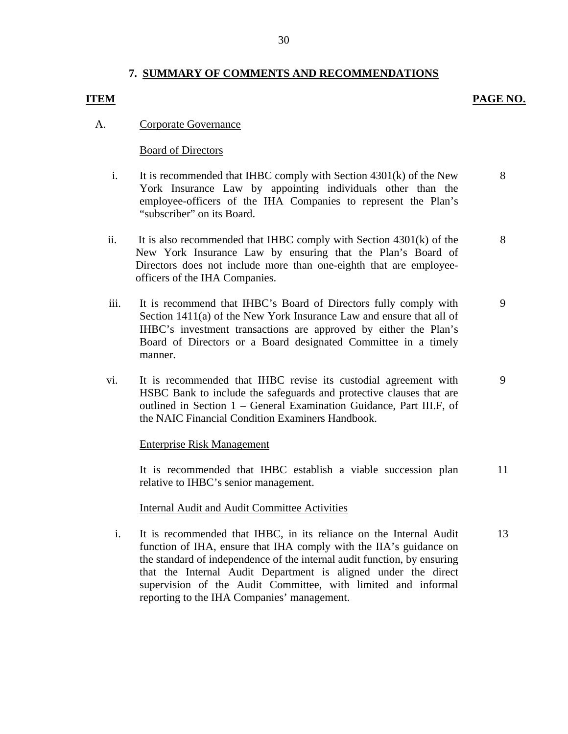## **7. SUMMARY OF COMMENTS AND RECOMMENDATIONS**

## **ITEM PAGE NO.**

9

## A. Corporate Governance

## Board of Directors

- i. It is recommended that IHBC comply with Section 4301(k) of the New York Insurance Law by appointing individuals other than the employee-officers of the IHA Companies to represent the Plan's "subscriber" on its Board. 8
- ii. It is also recommended that IHBC comply with Section 4301(k) of the New York Insurance Law by ensuring that the Plan's Board of Directors does not include more than one-eighth that are employeeofficers of the IHA Companies. 8
- iii. It is recommend that IHBC's Board of Directors fully comply with Section 1411(a) of the New York Insurance Law and ensure that all of IHBC's investment transactions are approved by either the Plan's Board of Directors or a Board designated Committee in a timely manner. 9
- vi. It is recommended that IHBC revise its custodial agreement with HSBC Bank to include the safeguards and protective clauses that are outlined in Section 1 – General Examination Guidance, Part III.F, of the NAIC Financial Condition Examiners Handbook.

### Enterprise Risk Management

It is recommended that IHBC establish a viable succession plan relative to IHBC's senior management. 11

### Internal Audit and Audit Committee Activities

i. It is recommended that IHBC, in its reliance on the Internal Audit function of IHA, ensure that IHA comply with the IIA's guidance on the standard of independence of the internal audit function, by ensuring that the Internal Audit Department is aligned under the direct supervision of the Audit Committee, with limited and informal reporting to the IHA Companies' management. 13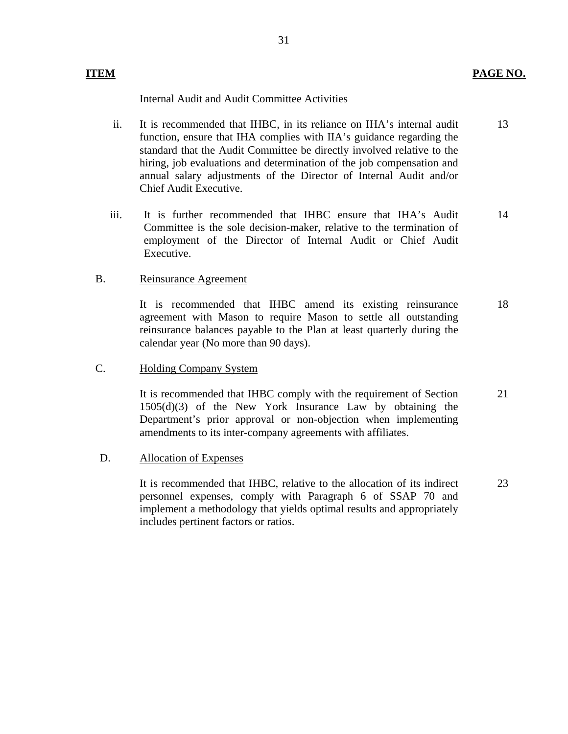## **ITEM** PAGE NO.

## Internal Audit and Audit Committee Activities

- ii. It is recommended that IHBC, in its reliance on IHA's internal audit function, ensure that IHA complies with IIA's guidance regarding the standard that the Audit Committee be directly involved relative to the hiring, job evaluations and determination of the job compensation and annual salary adjustments of the Director of Internal Audit and/or Chief Audit Executive. 13
- iii. It is further recommended that IHBC ensure that IHA's Audit Committee is the sole decision-maker, relative to the termination of employment of the Director of Internal Audit or Chief Audit Executive. 14

## B. Reinsurance Agreement

It is recommended that IHBC amend its existing reinsurance agreement with Mason to require Mason to settle all outstanding reinsurance balances payable to the Plan at least quarterly during the calendar year (No more than 90 days). 18

## C. Holding Company System

It is recommended that IHBC comply with the requirement of Section 1505(d)(3) of the New York Insurance Law by obtaining the Department's prior approval or non-objection when implementing amendments to its inter-company agreements with affiliates. 21

### D. Allocation of Expenses

It is recommended that IHBC, relative to the allocation of its indirect personnel expenses, comply with Paragraph 6 of SSAP 70 and implement a methodology that yields optimal results and appropriately includes pertinent factors or ratios. 23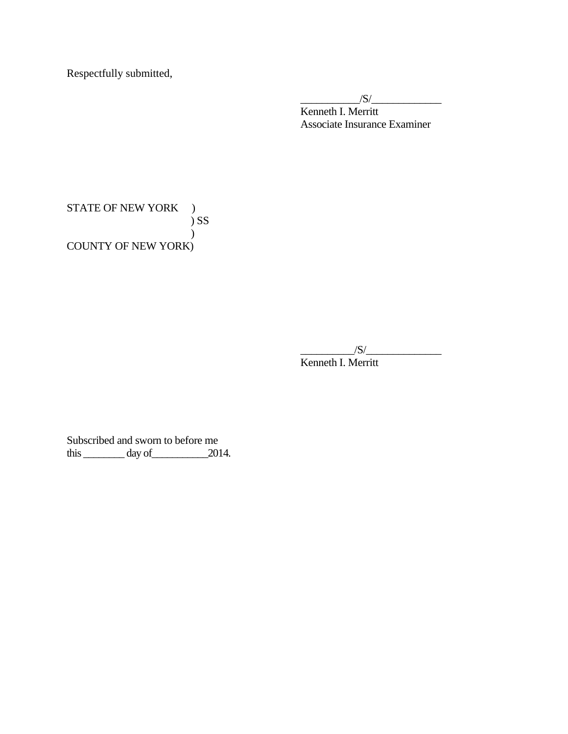Respectfully submitted,

 $\frac{|S|}{|S|}$ Kenneth I. Merritt Associate Insurance Examiner

STATE OF NEW YORK ) ) SS ) COUNTY OF NEW YORK)

 $\frac{1}{S}$ 

Kenneth I. Merritt

Subscribed and sworn to before me  $\frac{3}{2014}$ .